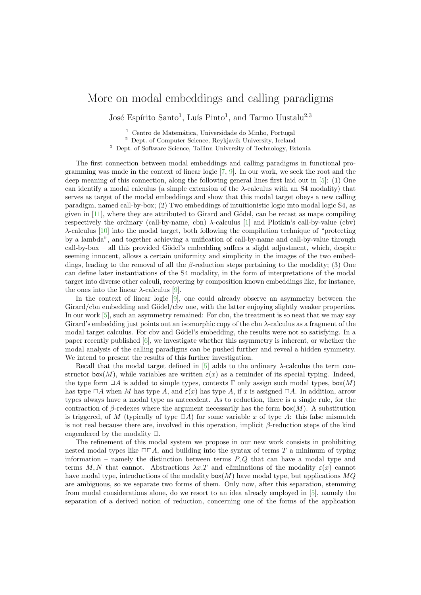## More on modal embeddings and calling paradigms

José Espírito Santo<sup>1</sup>, Luís Pinto<sup>1</sup>, and Tarmo Uustalu<sup>2,3</sup>

 $1$  Centro de Matemática, Universidade do Minho, Portugal

<sup>2</sup> Dept. of Computer Science, Reykjavik University, Iceland

<sup>3</sup> Dept. of Software Science, Tallinn University of Technology, Estonia

The first connection between modal embeddings and calling paradigms in functional programming was made in the context of linear logic  $[7, 9]$  $[7, 9]$ . In our work, we seek the root and the deep meaning of this connection, along the following general lines first laid out in [\[5\]](#page-1-2): (1) One can identify a modal calculus (a simple extension of the  $\lambda$ -calculus with an S4 modality) that serves as target of the modal embeddings and show that this modal target obeys a new calling paradigm, named call-by-box; (2) Two embeddings of intuitionistic logic into modal logic S4, as given in  $[11]$ , where they are attributed to Girard and Gödel, can be recast as maps compiling respectively the ordinary (call-by-name, cbn)  $\lambda$ -calculus [\[1\]](#page-1-4) and Plotkin's call-by-value (cbv) λ-calculus [\[10\]](#page-1-5) into the modal target, both following the compilation technique of "protecting by a lambda", and together achieving a unification of call-by-name and call-by-value through call-by-box – all this provided Gödel's embedding suffers a slight adjustment, which, despite seeming innocent, allows a certain uniformity and simplicity in the images of the two embeddings, leading to the removal of all the  $\beta$ -reduction steps pertaining to the modality; (3) One can define later instantiations of the S4 modality, in the form of interpretations of the modal target into diverse other calculi, recovering by composition known embeddings like, for instance, the ones into the linear  $\lambda$ -calculus [\[9\]](#page-1-1).

In the context of linear logic [\[9\]](#page-1-1), one could already observe an asymmetry between the Girard/cbn embedding and Gödel/cbv one, with the latter enjoying slightly weaker properties. In our work [\[5\]](#page-1-2), such an asymmetry remained: For cbn, the treatment is so neat that we may say Girard's embedding just points out an isomorphic copy of the cbn  $\lambda$ -calculus as a fragment of the modal target calculus. For cbv and Gödel's embedding, the results were not so satisfying. In a paper recently published [\[6\]](#page-1-6), we investigate whether this asymmetry is inherent, or whether the modal analysis of the calling paradigms can be pushed further and reveal a hidden symmetry. We intend to present the results of this further investigation.

Recall that the modal target defined in  $[5]$  adds to the ordinary  $\lambda$ -calculus the term constructor box(M), while variables are written  $\varepsilon(x)$  as a reminder of its special typing. Indeed, the type form  $\Box A$  is added to simple types, contexts Γ only assign such modal types, box(M) has type  $\Box A$  when M has type A, and  $\varepsilon(x)$  has type A, if x is assigned  $\Box A$ . In addition, arrow types always have a modal type as antecedent. As to reduction, there is a single rule, for the contraction of  $\beta$ -redexes where the argument necessarily has the form box(M). A substitution is triggered, of M (typically of type  $\Box A$ ) for some variable x of type A: this false mismatch is not real because there are, involved in this operation, implicit  $\beta$ -reduction steps of the kind engendered by the modality  $\Box$ .

The refinement of this modal system we propose in our new work consists in prohibiting nested modal types like  $\Box \Box A$ , and building into the syntax of terms T a minimum of typing information – namely the distinction between terms  $P, Q$  that can have a modal type and terms M, N that cannot. Abstractions  $\lambda x$ . T and eliminations of the modality  $\varepsilon(x)$  cannot have modal type, introductions of the modality  $\mathsf{box}(M)$  have modal type, but applications  $MQ$ are ambiguous, so we separate two forms of them. Only now, after this separation, stemming from modal considerations alone, do we resort to an idea already employed in [\[5\]](#page-1-2), namely the separation of a derived notion of reduction, concerning one of the forms of the application